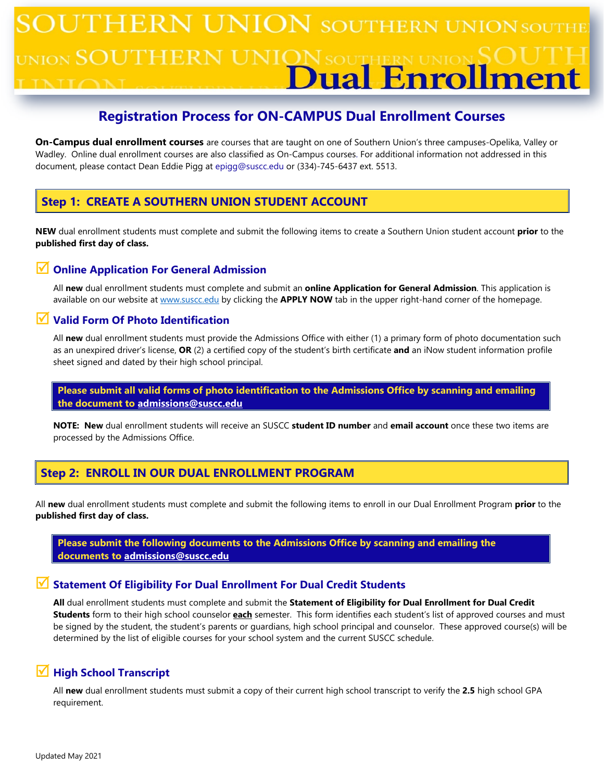# **UTHERN UNION SOUTHERN UNION SOUT** <sub>hon</sub> SOUTHE ual Enrol **Pn**

# **Registration Process for ON-CAMPUS Dual Enrollment Courses**

**On-Campus dual enrollment courses** are courses that are taught on one of Southern Union's three campuses-Opelika, Valley or Wadley. Online dual enrollment courses are also classified as On-Campus courses. For additional information not addressed in this document, please contact Dean Eddie Pigg at epigg@suscc.edu or (334)-745-6437 ext. 5513.

## **Step 1: CREATE A SOUTHERN UNION STUDENT ACCOUNT**

**NEW** dual enrollment students must complete and submit the following items to create a Southern Union student account **prior** to the **published first day of class.**

### **Online Application For General Admission**

All **new** dual enrollment students must complete and submit an **online Application for General Admission**. This application is available on our website a[t www.suscc.edu](http://www.suscc.edu/) by clicking the **APPLY NOW** tab in the upper right-hand corner of the homepage.

### **Valid Form Of Photo Identification**

All **new** dual enrollment students must provide the Admissions Office with either (1) a primary form of photo documentation such as an unexpired driver's license, **OR** (2) a certified copy of the student's birth certificate **and** an iNow student information profile sheet signed and dated by their high school principal.

### **Please submit all valid forms of photo identification to the Admissions Office by scanning and emailing the document to [admissions@suscc.edu](mailto:admissions@suscc.edu)**

**NOTE: New** dual enrollment students will receive an SUSCC **student ID number** and **email account** once these two items are processed by the Admissions Office.

### **Step 2: ENROLL IN OUR DUAL ENROLLMENT PROGRAM**

All **new** dual enrollment students must complete and submit the following items to enroll in our Dual Enrollment Program **prior** to the **published first day of class.**

**Please submit the following documents to the Admissions Office by scanning and emailing the documents to [admissions@suscc.edu](mailto:admissions@suscc.edu)**

### **Statement Of Eligibility For Dual Enrollment For Dual Credit Students**

**All** dual enrollment students must complete and submit the **Statement of Eligibility for Dual Enrollment for Dual Credit Students** form to their high school counselor **each** semester. This form identifies each student's list of approved courses and must be signed by the student, the student's parents or guardians, high school principal and counselor. These approved course(s) will be determined by the list of eligible courses for your school system and the current SUSCC schedule.

### **High School Transcript**

All **new** dual enrollment students must submit a copy of their current high school transcript to verify the **2.5** high school GPA requirement.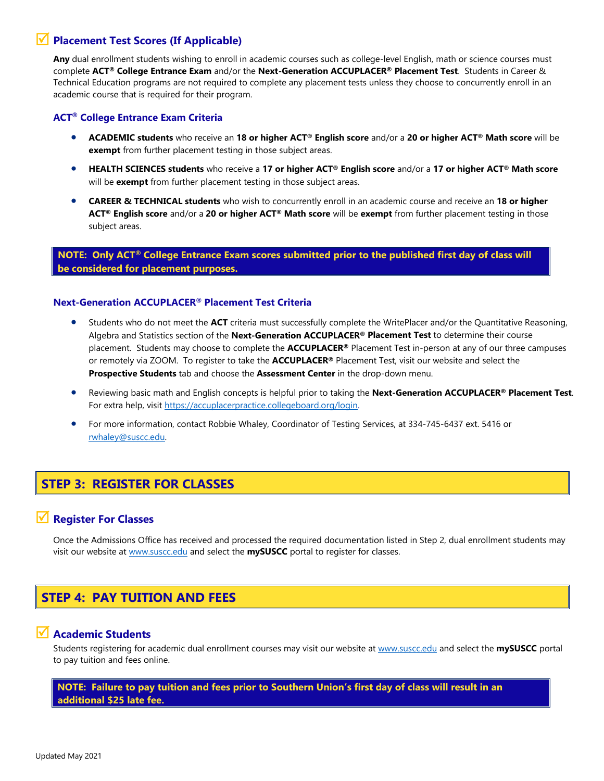### **Placement Test Scores (If Applicable)**

**Any** dual enrollment students wishing to enroll in academic courses such as college-level English, math or science courses must complete **ACT® College Entrance Exam** and/or the **Next-Generation ACCUPLACER® Placement Test**. Students in Career & Technical Education programs are not required to complete any placement tests unless they choose to concurrently enroll in an academic course that is required for their program.

#### **ACT® College Entrance Exam Criteria**

- **ACADEMIC students** who receive an **18 or higher ACT® English score** and/or a **20 or higher ACT® Math score** will be **exempt** from further placement testing in those subject areas.
- **HEALTH SCIENCES students** who receive a **17 or higher ACT® English score** and/or a **17 or higher ACT® Math score** will be **exempt** from further placement testing in those subject areas.
- **CAREER & TECHNICAL students** who wish to concurrently enroll in an academic course and receive an **18 or higher ACT® English score** and/or a **20 or higher ACT® Math score** will be **exempt** from further placement testing in those subject areas.

 **NOTE: Only ACT® College Entrance Exam scores submitted prior to the published first day of class will be considered for placement purposes.**

#### **Next-Generation ACCUPLACER® Placement Test Criteria**

- Students who do not meet the **ACT** criteria must successfully complete the WritePlacer and/or the Quantitative Reasoning, Algebra and Statistics section of the **Next-Generation ACCUPLACER® Placement Test** to determine their course placement. Students may choose to complete the **ACCUPLACER®** Placement Test in-person at any of our three campuses or remotely via ZOOM. To register to take the **ACCUPLACER®** Placement Test, visit our website and select the **Prospective Students** tab and choose the **Assessment Center** in the drop-down menu.
- Reviewing basic math and English concepts is helpful prior to taking the **Next-Generation ACCUPLACER® Placement Test**. For extra help, visit [https://accuplacerpractice.collegeboard.org/login.](https://accuplacerpractice.collegeboard.org/login)
- For more information, contact Robbie Whaley, Coordinator of Testing Services, at 334-745-6437 ext. 5416 or [rwhaley@suscc.edu.](mailto:rwhaley@suscc.edu)

# **STEP 3: REGISTER FOR CLASSES**

### **Register For Classes**

Once the Admissions Office has received and processed the required documentation listed in Step 2, dual enrollment students may visit our website at [www.suscc.edu](http://www.suscc.edu/) and select the **mySUSCC** portal to register for classes.

# **STEP 4: PAY TUITION AND FEES**

### **Academic Students**

Students registering for academic dual enrollment courses may visit our website a[t www.suscc.edu](http://www.suscc.edu/) and select the **mySUSCC** portal to pay tuition and fees online.

#### **NOTE: Failure to pay tuition and fees prior to Southern Union's first day of class will result in an additional \$25 late fee.**